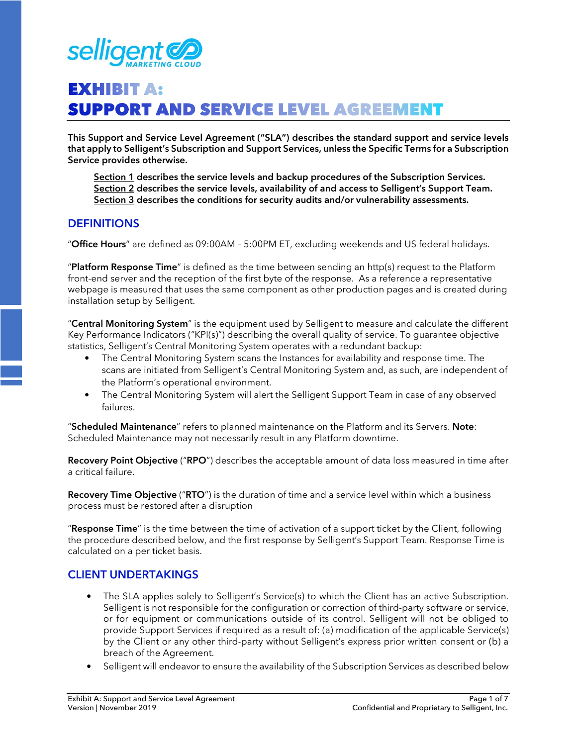

# **EXHIBIT A: SUPPORT AND SERVICE LEVEL AGREEMENT**

**This Support and Service Level Agreement ("SLA") describes the standard support and service levels that apply to Selligent's Subscription and Support Services, unless the Specific Terms for a Subscription Service provides otherwise.** 

 **Section 1 describes the service levels and backup procedures of the Subscription Services. Section 2 describes the service levels, availability of and access to Selligent's Support Team. Section 3 describes the conditions for security audits and/or vulnerability assessments.** 

### **DEFINITIONS**

"**Office Hours**" are defined as 09:00AM – 5:00PM ET, excluding weekends and US federal holidays.

"**Platform Response Time**" is defined as the time between sending an http(s) request to the Platform front-end server and the reception of the first byte of the response. As a reference a representative webpage is measured that uses the same component as other production pages and is created during installation setup by Selligent.

"**Central Monitoring System**" is the equipment used by Selligent to measure and calculate the different Key Performance Indicators ("KPI(s)") describing the overall quality of service. To guarantee objective statistics, Selligent's Central Monitoring System operates with a redundant backup:

- The Central Monitoring System scans the Instances for availability and response time. The scans are initiated from Selligent's Central Monitoring System and, as such, are independent of the Platform's operational environment.
- The Central Monitoring System will alert the Selligent Support Team in case of any observed failures.

"**Scheduled Maintenance**" refers to planned maintenance on the Platform and its Servers. **Note**: Scheduled Maintenance may not necessarily result in any Platform downtime.

**Recovery Point Objective** ("**RPO**") describes the acceptable amount of data loss measured in time after a critical failure.

**Recovery Time Objective** ("**RTO**") is the duration of time and a service level within which a business process must be restored after a disruption

"**Response Time**" is the time between the time of activation of a support ticket by the Client, following the procedure described below, and the first response by Selligent's Support Team. Response Time is calculated on a per ticket basis.

## **CLIENT UNDERTAKINGS**

- The SLA applies solely to Selligent's Service(s) to which the Client has an active Subscription. Selligent is not responsible for the configuration or correction of third-party software or service, or for equipment or communications outside of its control. Selligent will not be obliged to provide Support Services if required as a result of: (a) modification of the applicable Service(s) by the Client or any other third-party without Selligent's express prior written consent or (b) a breach of the Agreement.
- Selligent will endeavor to ensure the availability of the Subscription Services as described below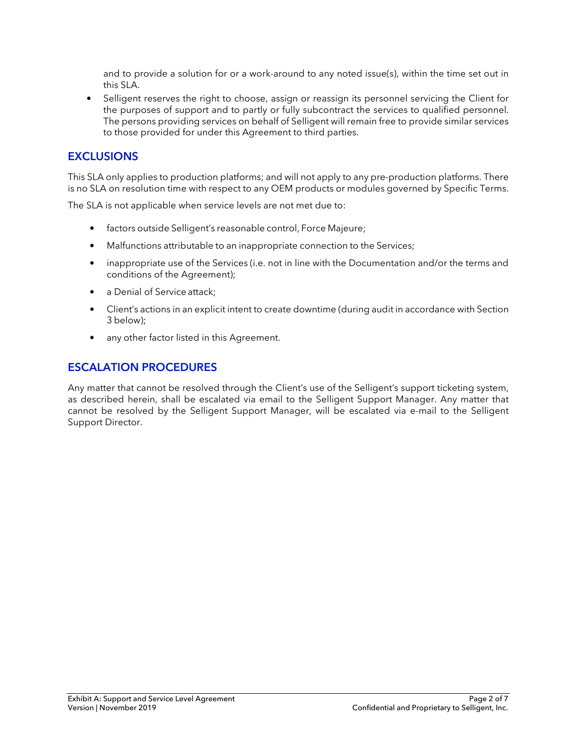and to provide a solution for or a work-around to any noted issue(s), within the time set out in this SLA.

• Selligent reserves the right to choose, assign or reassign its personnel servicing the Client for the purposes of support and to partly or fully subcontract the services to qualified personnel. The persons providing services on behalf of Selligent will remain free to provide similar services to those provided for under this Agreement to third parties.

## **EXCLUSIONS**

This SLA only applies to production platforms; and will not apply to any pre-production platforms. There is no SLA on resolution time with respect to any OEM products or modules governed by Specific Terms.

The SLA is not applicable when service levels are not met due to:

- factors outside Selligent's reasonable control, Force Majeure;
- Malfunctions attributable to an inappropriate connection to the Services;
- inappropriate use of the Services (i.e. not in line with the Documentation and/or the terms and conditions of the Agreement);
- a Denial of Service attack;
- Client's actions in an explicit intent to create downtime (during audit in accordance with Section 3 below);
- any other factor listed in this Agreement.

## **ESCALATION PROCEDURES**

Any matter that cannot be resolved through the Client's use of the Selligent's support ticketing system, as described herein, shall be escalated via email to the Selligent Support Manager. Any matter that cannot be resolved by the Selligent Support Manager, will be escalated via e-mail to the Selligent Support Director.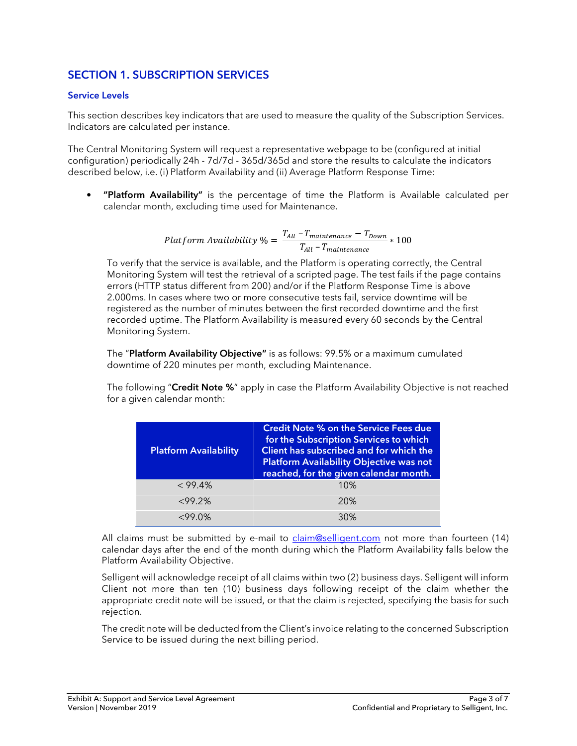# **SECTION 1. SUBSCRIPTION SERVICES**

#### **Service Levels**

This section describes key indicators that are used to measure the quality of the Subscription Services. Indicators are calculated per instance.

The Central Monitoring System will request a representative webpage to be (configured at initial configuration) periodically 24h - 7d/7d - 365d/365d and store the results to calculate the indicators described below, i.e. (i) Platform Availability and (ii) Average Platform Response Time:

• **"Platform Availability"** is the percentage of time the Platform is Available calculated per calendar month, excluding time used for Maintenance.

> Platform Availability  $\% = \frac{T_{All} - T_{maintenance} - T_{Down}}{T_{min} - T_{upot}}$  $\frac{m$ untenance  $T_{All} - T_{maintenance}$  \* 100

To verify that the service is available, and the Platform is operating correctly, the Central Monitoring System will test the retrieval of a scripted page. The test fails if the page contains errors (HTTP status different from 200) and/or if the Platform Response Time is above 2.000ms. In cases where two or more consecutive tests fail, service downtime will be registered as the number of minutes between the first recorded downtime and the first recorded uptime. The Platform Availability is measured every 60 seconds by the Central Monitoring System.

The "**Platform Availability Objective"** is as follows: 99.5% or a maximum cumulated downtime of 220 minutes per month, excluding Maintenance.

The following "**Credit Note %**" apply in case the Platform Availability Objective is not reached for a given calendar month:

| <b>Platform Availability</b> | <b>Credit Note % on the Service Fees due</b><br>for the Subscription Services to which<br>Client has subscribed and for which the<br><b>Platform Availability Objective was not</b><br>reached, for the given calendar month. |
|------------------------------|-------------------------------------------------------------------------------------------------------------------------------------------------------------------------------------------------------------------------------|
| $< 99.4\%$                   | 10%                                                                                                                                                                                                                           |
| <99.2%                       | 20%                                                                                                                                                                                                                           |
| $<99.0\%$                    | 30%                                                                                                                                                                                                                           |

All claims must be submitted by e-mail to claim@selligent.com not more than fourteen (14) calendar days after the end of the month during which the Platform Availability falls below the Platform Availability Objective.

Selligent will acknowledge receipt of all claims within two (2) business days. Selligent will inform Client not more than ten (10) business days following receipt of the claim whether the appropriate credit note will be issued, or that the claim is rejected, specifying the basis for such rejection.

The credit note will be deducted from the Client's invoice relating to the concerned Subscription Service to be issued during the next billing period.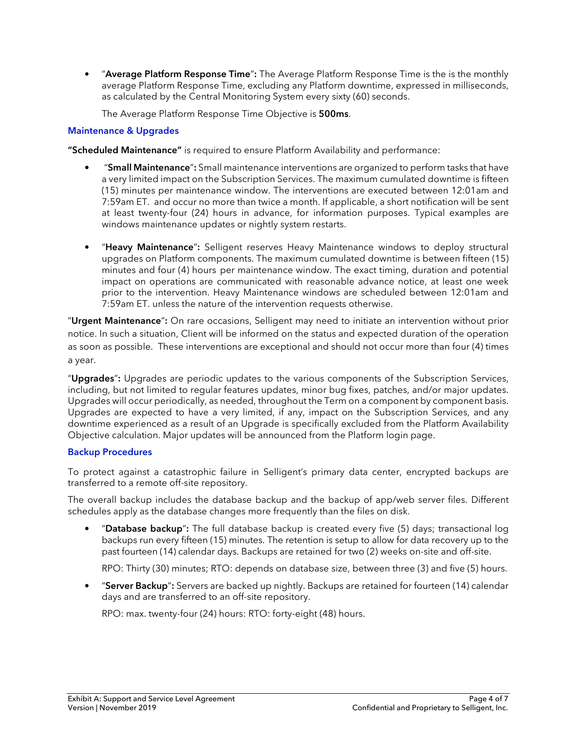• "**Average Platform Response Time**"**:** The Average Platform Response Time is the is the monthly average Platform Response Time, excluding any Platform downtime, expressed in milliseconds, as calculated by the Central Monitoring System every sixty (60) seconds.

The Average Platform Response Time Objective is **500ms**.

#### **Maintenance & Upgrades**

**"Scheduled Maintenance"** is required to ensure Platform Availability and performance:

- "**Small Maintenance**"**:** Small maintenance interventions are organized to perform tasks that have a very limited impact on the Subscription Services. The maximum cumulated downtime is fifteen (15) minutes per maintenance window. The interventions are executed between 12:01am and 7:59am ET. and occur no more than twice a month. If applicable, a short notification will be sent at least twenty-four (24) hours in advance, for information purposes. Typical examples are windows maintenance updates or nightly system restarts.
- "**Heavy Maintenance**"**:** Selligent reserves Heavy Maintenance windows to deploy structural upgrades on Platform components. The maximum cumulated downtime is between fifteen (15) minutes and four (4) hours per maintenance window. The exact timing, duration and potential impact on operations are communicated with reasonable advance notice, at least one week prior to the intervention. Heavy Maintenance windows are scheduled between 12:01am and 7:59am ET. unless the nature of the intervention requests otherwise.

"**Urgent Maintenance**"**:** On rare occasions, Selligent may need to initiate an intervention without prior notice. In such a situation, Client will be informed on the status and expected duration of the operation as soon as possible. These interventions are exceptional and should not occur more than four (4) times a year.

"**Upgrades**"**:** Upgrades are periodic updates to the various components of the Subscription Services, including, but not limited to regular features updates, minor bug fixes, patches, and/or major updates. Upgrades will occur periodically, as needed, throughout the Term on a component by component basis. Upgrades are expected to have a very limited, if any, impact on the Subscription Services, and any downtime experienced as a result of an Upgrade is specifically excluded from the Platform Availability Objective calculation. Major updates will be announced from the Platform login page.

#### **Backup Procedures**

To protect against a catastrophic failure in Selligent's primary data center, encrypted backups are transferred to a remote off-site repository.

The overall backup includes the database backup and the backup of app/web server files. Different schedules apply as the database changes more frequently than the files on disk.

• "**Database backup**"**:** The full database backup is created every five (5) days; transactional log backups run every fifteen (15) minutes. The retention is setup to allow for data recovery up to the past fourteen (14) calendar days. Backups are retained for two (2) weeks on-site and off-site.

RPO: Thirty (30) minutes; RTO: depends on database size, between three (3) and five (5) hours.

• "**Server Backup**"**:** Servers are backed up nightly. Backups are retained for fourteen (14) calendar days and are transferred to an off-site repository.

RPO: max. twenty-four (24) hours: RTO: forty-eight (48) hours.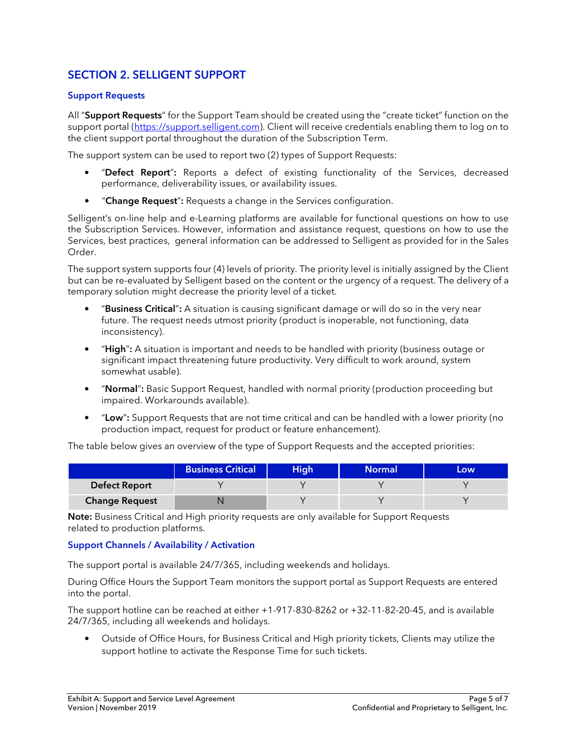# **SECTION 2. SELLIGENT SUPPORT**

#### **Support Requests**

All "**Support Requests**" for the Support Team should be created using the "create ticket" function on the support portal (https://support.selligent.com). Client will receive credentials enabling them to log on to the client support portal throughout the duration of the Subscription Term.

The support system can be used to report two (2) types of Support Requests:

- "**Defect Report**"**:** Reports a defect of existing functionality of the Services, decreased performance, deliverability issues, or availability issues.
- "**Change Request**"**:** Requests a change in the Services configuration.

Selligent's on-line help and e-Learning platforms are available for functional questions on how to use the Subscription Services. However, information and assistance request, questions on how to use the Services, best practices, general information can be addressed to Selligent as provided for in the Sales Order.

The support system supports four (4) levels of priority. The priority level is initially assigned by the Client but can be re-evaluated by Selligent based on the content or the urgency of a request. The delivery of a temporary solution might decrease the priority level of a ticket.

- "**Business Critical**"**:** A situation is causing significant damage or will do so in the very near future. The request needs utmost priority (product is inoperable, not functioning, data inconsistency).
- "**High**"**:** A situation is important and needs to be handled with priority (business outage or significant impact threatening future productivity. Very difficult to work around, system somewhat usable).
- "**Normal**"**:** Basic Support Request, handled with normal priority (production proceeding but impaired. Workarounds available).
- "**Low**"**:** Support Requests that are not time critical and can be handled with a lower priority (no production impact, request for product or feature enhancement).

The table below gives an overview of the type of Support Requests and the accepted priorities:

|                       | <b>Business Critical</b> | <b>High</b> | Normal | Low |
|-----------------------|--------------------------|-------------|--------|-----|
| <b>Defect Report</b>  |                          |             |        |     |
| <b>Change Request</b> |                          |             |        |     |

**Note:** Business Critical and High priority requests are only available for Support Requests related to production platforms.

#### **Support Channels / Availability / Activation**

The support portal is available 24/7/365, including weekends and holidays.

During Office Hours the Support Team monitors the support portal as Support Requests are entered into the portal.

The support hotline can be reached at either +1-917-830-8262 or +32-11-82-20-45, and is available 24/7/365, including all weekends and holidays.

• Outside of Office Hours, for Business Critical and High priority tickets, Clients may utilize the support hotline to activate the Response Time for such tickets.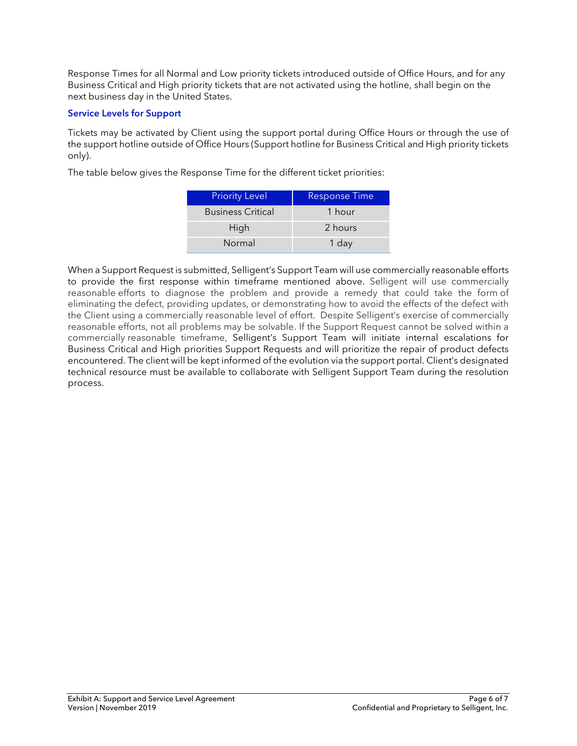Response Times for all Normal and Low priority tickets introduced outside of Office Hours, and for any Business Critical and High priority tickets that are not activated using the hotline, shall begin on the next business day in the United States.

#### **Service Levels for Support**

Tickets may be activated by Client using the support portal during Office Hours or through the use of the support hotline outside of Office Hours (Support hotline for Business Critical and High priority tickets only).

The table below gives the Response Time for the different ticket priorities:

| <b>Priority Level</b>    | <b>Response Time</b> |
|--------------------------|----------------------|
| <b>Business Critical</b> | 1 hour               |
| High                     | 2 hours              |
| Normal                   | 1 day                |

When a Support Request is submitted, Selligent's Support Team will use commercially reasonable efforts to provide the first response within timeframe mentioned above. Selligent will use commercially reasonable efforts to diagnose the problem and provide a remedy that could take the form of eliminating the defect, providing updates, or demonstrating how to avoid the effects of the defect with the Client using a commercially reasonable level of effort. Despite Selligent's exercise of commercially reasonable efforts, not all problems may be solvable. If the Support Request cannot be solved within a commercially reasonable timeframe, Selligent's Support Team will initiate internal escalations for Business Critical and High priorities Support Requests and will prioritize the repair of product defects encountered. The client will be kept informed of the evolution via the support portal. Client's designated technical resource must be available to collaborate with Selligent Support Team during the resolution process.